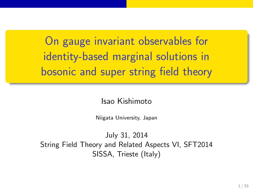On gauge invariant observables for identity-based marginal solutions in bosonic and super string field theory

#### Isao Kishimoto

Niigata University, Japan

July 31, 2014 String Field Theory and Related Aspects VI, SFT2014 SISSA, Trieste (Italy)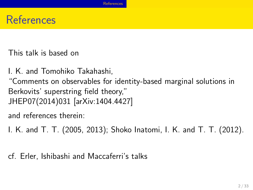# **References**

This talk is based on

I. K. and Tomohiko Takahashi, "Comments on observables for identity-based marginal solutions in Berkovits' superstring field theory," JHEP07(2014)031 [arXiv:1404.4427]

References

and references therein:

I. K. and T. T. (2005, 2013); Shoko Inatomi, I. K. and T. T. (2012).

cf. Erler, Ishibashi and Maccaferri's talks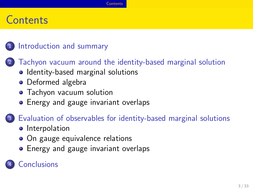# **Contents**

### 1 Introduction and summary

<sup>2</sup> Tachyon vacuum around the identity-based marginal solution

**Contents** 

- Identity-based marginal solutions
- **•** Deformed algebra
- Tachyon vacuum solution
- **•** Energy and gauge invariant overlaps

### <sup>3</sup> Evaluation of observables for identity-based marginal solutions

- **·** Interpolation
- On gauge equivalence relations
- **•** Energy and gauge invariant overlaps
- 4 Conclusions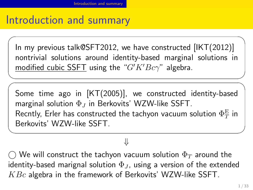# Introduction and summary

✒  $\sqrt{2}$  Introduction and summary

In my previous talk@SFT2012, we have constructed [IKT(2012)] nontrivial solutions around identity-based marginal solutions in modified cubic SSFT using the "*G′K′Bcγ*" algebra.

 $\sqrt{2\pi}$ 

Some time ago in [KT(2005)], we constructed identity-based marginal solution Φ*<sup>J</sup>* in Berkovits' WZW-like SSFT. Recntly, Erler has constructed the tachyon vacuum solution  $\Phi_T^\mathrm{E}$  in Berkovits' WZW-like SSFT.

*⇓*

✒ ✑

*⃝* We will construct the tachyon vacuum solution Φ*<sup>T</sup>* around the identity-based marignal solution  $\Phi_J$ , using a version of the extended *KBc* algebra in the framework of Berkovits' WZW-like SSFT.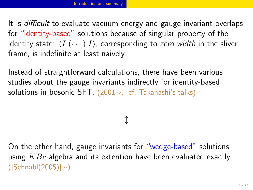#### Introduction and summary

It is *difficult* to evaluate vacuum energy and gauge invariant overlaps for "identity-based" solutions because of singular property of the identity state:  $\langle I|(\cdots)|I\rangle$ , corresponding to *zero width* in the sliver frame, is indefinite at least naively.

Instead of straightforward calculations, there have been various studies about the gauge invariants indirectly for identity-based solutions in bosonic SFT. (2001*∼*, cf. Takahashi's talks)

*↕*

On the other hand, gauge invariants for "wedge-based" solutions using *KBc* algebra and its extention have been evaluated exactly. ([Schnabl(2005)]*∼*)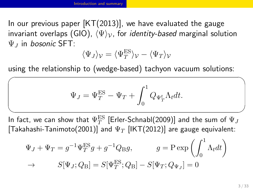#### Introduction and summary

 $\sqrt{2}$ 

In our previous paper  $[KT(2013)]$ , we have evaluated the gauge invariant overlaps (GIO), *⟨*Ψ*⟩V*, for *identity-based* marginal solution Ψ*<sup>J</sup>* in *bosonic* SFT:

$$
\langle \Psi_J \rangle_{\mathcal{V}} = \langle \Psi_T^{\text{ES}} \rangle_{\mathcal{V}} - \langle \Psi_T \rangle_{\mathcal{V}}
$$

using the relationship to (wedge-based) tachyon vacuum solutions:

$$
\Psi_J = \Psi_T^{\text{ES}} - \Psi_T + \int_0^1 Q_{\Psi_T^t} \Lambda_t dt.
$$

In fact, we can show that  $\Psi_T^{\text{ES}}$  [Erler-Schnabl(2009)] and the sum of  $\Psi_J$ <code>[Takahashi-Tanimoto(2001)]</code> and  $\Psi_T$  [IKT(2012)] are gauge equivalent:

$$
\Psi_J + \Psi_T = g^{-1} \Psi_T^{\text{ES}} g + g^{-1} Q_{\text{B}} g, \qquad g = \text{P} \exp\left(\int_0^1 \Lambda_t dt\right)
$$
  
\n
$$
\to S[\Psi_J; Q_{\text{B}}] = S[\Psi_T^{\text{ES}}; Q_{\text{B}}] - S[\Psi_T; Q_{\Psi_J}] = 0
$$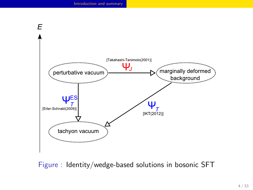

Figure : Identity/wedge-based solutions in bosonic SFT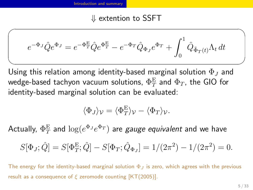### *⇓* extention to SSFT

Introduction and summary

$$
e^{-\Phi_J}\hat{Q}e^{\Phi_J} = e^{-\Phi_T^E}\hat{Q}e^{\Phi_T^E} - e^{-\Phi_T}\hat{Q}_{\Phi_J}e^{\Phi_T} + \int_0^1 \hat{Q}_{\tilde{\Phi}_T(t)}\Lambda_t dt
$$

 $\sqrt{2\pi}$ 

Using this relation among identity-based marginal solution Φ*<sup>J</sup>* and wedge-based tachyon vacuum solutions,  $\Phi_T^\mathrm{E}$  and  $\Phi_T$ , the GIO for identity-based marginal solution can be evaluated:

$$
\langle \Phi_J \rangle_{\mathcal{V}} = \langle \Phi_T^{\mathcal{E}} \rangle_{\mathcal{V}} - \langle \Phi_T \rangle_{\mathcal{V}}.
$$

 $\mathsf{Actually,}\ \Phi_T^\mathrm{E}$  and  $\log(e^{\Phi_J}e^{\Phi_T})$  are *gauge equivalent* and we have

$$
S[\Phi_J; \hat{Q}] = S[\Phi_T^{\text{E}}; \hat{Q}] - S[\Phi_T; \hat{Q}_{\Phi_J}] = 1/(2\pi^2) - 1/(2\pi^2) = 0.
$$

The energy for the identity-based marginal solution Φ*<sup>J</sup>* is zero, which agrees with the previous result as a consequence of *ξ* zeromode counting [KT(2005)].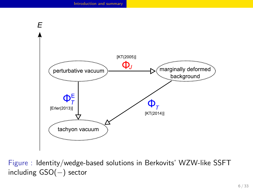

Figure : Identity/wedge-based solutions in Berkovits' WZW-like SSFT including GSO(*−*) sector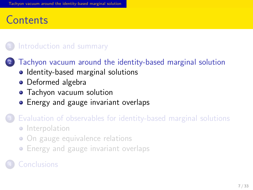#### Tachyon vacuum around the identity-based marginal solution

# **Contents**

1 Introduction and summary

<sup>2</sup> Tachyon vacuum around the identity-based marginal solution

- Identity-based marginal solutions
- **•** Deformed algebra
- Tachyon vacuum solution
- **•** Energy and gauge invariant overlaps
- <sup>3</sup> Evaluation of observables for identity-based marginal solutions
	- **·** Interpolation
	- · On gauge equivalence relations
	- **•** Energy and gauge invariant overlaps
- <sup>4</sup> Conclusions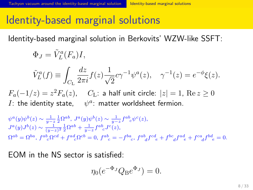## Identity-based marginal solutions

Tachyon vacuum around the identity-based marginal solution Indentity-based marginal solutions

Identity-based marginal solution in Berkovits' WZW-like SSFT:

$$
\Phi_J = \tilde{V}_L^a(F_a)I,
$$
  

$$
\tilde{V}_L^a(f) \equiv \int_{C_{\rm L}} \frac{dz}{2\pi i} f(z) \frac{1}{\sqrt{2}} c\gamma^{-1} \psi^a(z), \quad \gamma^{-1}(z) = e^{-\phi} \xi(z).
$$

*F*<sub>a</sub>(−1/*z*) = *z*<sup>2</sup>*F*<sub>a</sub>(*z*), *C*<sub>L</sub>: a half unit circle:  $|z| = 1$ , Re *z* ≥ 0 *I*: the identity state,  $\psi^a$ : matter worldsheet fermion.

 $\psi^a(y)\psi^b(z) \sim \frac{1}{y-z}\frac{1}{2}\Omega^{ab},\ J^a(y)\psi^b(z) \sim \frac{1}{y-z}f^{ab}{}_c\psi^c(z),$  $J^a(y)J^b(z) \sim \frac{1}{(y-z)^2} \frac{1}{2} \Omega^{ab} + \frac{1}{y-z} f^{ab}_{\ \ c} J^c(z),$  $\Omega^{ab} = \Omega^{ba}$ ,  $f^{ab}_{c}\Omega^{cd} + f^{ad}_{c}\Omega^{cb} = 0$ ,  $f^{ab}_{c} = -f^{ba}_{c}$ ,  $f^{ab}_{d}f^{cd}_{e} + f^{bc}_{d}f^{ad}_{e} + f^{ca}_{d}f^{bd}_{e} = 0$ .

EOM in the NS sector is satisfied:

$$
\eta_0(e^{-\Phi_J}Q_{\mathrm{B}}e^{\Phi_J})=0.
$$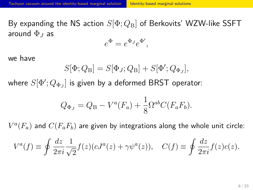### Tachyon vacuum around the identity-based marginal solution Indentity-based marginal solutions

By expanding the NS action *S*[Φ; *Q*B] of Berkovits' WZW-like SSFT around Φ*<sup>J</sup>* as

$$
e^{\Phi} = e^{\Phi_J} e^{\Phi'},
$$

we have

$$
S[\Phi; Q_{\rm B}] = S[\Phi_J; Q_{\rm B}] + S[\Phi'; Q_{\Phi_J}],
$$

where  $S[\Phi';Q_{\Phi_J}]$  is given by a deformed BRST operator:

$$
Q_{\Phi_J} = Q_{\rm B} - V^a(F_a) + \frac{1}{8} \Omega^{ab} C(F_a F_b).
$$

 $V^a(F_a)$  and  $C(F_a F_b)$  are given by integrations along the whole unit circle:

$$
V^{a}(f) \equiv \oint \frac{dz}{2\pi i} \frac{1}{\sqrt{2}} f(z) (cJ^{a}(z) + \gamma \psi^{a}(z)), \quad C(f) \equiv \oint \frac{dz}{2\pi i} f(z) c(z).
$$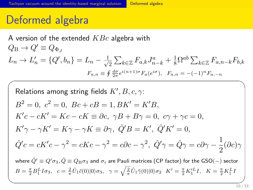#### vacuum around the identity-based marginal solution **Deformed algebra**

# Deformed algebra

A version of the extended *KBc* algebra with  $Q_{\rm B} \rightarrow Q' \equiv Q_{\Phi_J}$  $L_n \to L'_n = \{Q', b_n\} = L_n - \frac{1}{\sqrt{n}}$  $\frac{1}{2}$   $\sum_{k \in \mathbb{Z}} F_{a,k} J_{n-k}^a + \frac{1}{8} \Omega^{ab} \sum_{k \in \mathbb{Z}} F_{a,n-k} F_{b,k}$  $F_{a,n} \equiv \oint \frac{d\sigma}{2\pi} e^{i(n+1)\sigma} F_a(e^{i\sigma}), \quad F_{a,n} = -(-1)^n F_{a,-n}$ 

Relationships among string fields 
$$
K', B, c, \gamma
$$
:

\n
$$
B^2 = 0, c^2 = 0, Bc + cB = 1, BK' = K'B,
$$

\n
$$
K'c - cK' = Kc - cK \equiv \partial c, \gamma B + B\gamma = 0, c\gamma + \gamma c = 0,
$$

\n
$$
K'\gamma - \gamma K' = K\gamma - \gamma K \equiv \partial \gamma, \hat{Q}'B = K', \hat{Q}'K' = 0,
$$

\n
$$
\hat{Q}'c = cK'c - \gamma^2 = cKc - \gamma^2 = c\partial c - \gamma^2, \hat{Q}'\gamma = \hat{Q}\gamma = c\partial \gamma - \frac{1}{2}(\partial c)\gamma
$$

\nwhere  $\hat{Q}' \equiv Q'\sigma_3, \hat{Q} \equiv Q_B\sigma_3$  and  $\sigma_i$  are Pauli matrices (CP factor) for the GSO(-) sector

\n
$$
B = \frac{\pi}{2}B_1^L I \sigma_3, c = \frac{2}{\pi} \hat{U}_1 \tilde{c}(0)|0\rangle \sigma_3, \gamma = \sqrt{\frac{2}{\pi}} \hat{U}_1 \tilde{r}(0)|0\rangle \sigma_2, K' = \frac{\pi}{2}K_1^L I, K = \frac{\pi}{2}K_1^L I
$$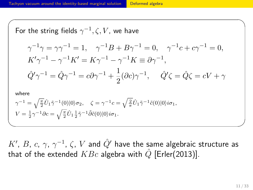#### on vacuum around the identity-based marginal solution Deformed algebra

For the string fields 
$$
\gamma^{-1}
$$
,  $\zeta$ ,  $V$ , we have  
\n
$$
\gamma^{-1}\gamma = \gamma\gamma^{-1} = 1, \quad \gamma^{-1}B + B\gamma^{-1} = 0, \quad \gamma^{-1}c + c\gamma^{-1} = 0,
$$
\n
$$
K'\gamma^{-1} - \gamma^{-1}K' = K\gamma^{-1} - \gamma^{-1}K \equiv \partial\gamma^{-1},
$$
\n
$$
\hat{Q}'\gamma^{-1} = \hat{Q}\gamma^{-1} = c\partial\gamma^{-1} + \frac{1}{2}(\partial c)\gamma^{-1}, \quad \hat{Q}'\zeta = \hat{Q}\zeta = cV + \gamma
$$
\nwhere  
\n
$$
\gamma^{-1} = \sqrt{\frac{\pi}{2}}\hat{U}_1\tilde{\gamma}^{-1}(0)|0\rangle\sigma_2, \quad \zeta = \gamma^{-1}c = \sqrt{\frac{2}{\pi}}\hat{U}_1\tilde{\gamma}^{-1}\tilde{c}(0)|0\rangle i\sigma_1,
$$
\n
$$
V = \frac{1}{2}\gamma^{-1}\partial c = \sqrt{\frac{\pi}{2}}\hat{U}_1\frac{1}{2}\tilde{\gamma}^{-1}\tilde{\partial}\tilde{c}(0)|0\rangle i\sigma_1.
$$

 $\sqrt{2\pi}$ 

 $K'$ , *B*, *c*, *γ*,  $\gamma^{-1}$ , *ζ*,  $V$  and  $\hat{Q}'$  have the same algebraic structure as that of the extended  $KBc$  algebra with  $\hat{Q}$  [Erler(2013)].

 $\qquad \qquad \qquad$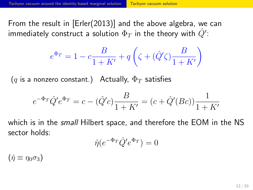### Tachyon vacuum around the identity-based marginal solution Tachyon vacuum solution

From the result in [Erler(2013)] and the above algebra, we can immediately construct a solution  $\Phi_T$  in the theory with  $\hat{Q}^\prime$ :

$$
e^{\Phi_T} = 1 - c\frac{B}{1+K'} + q\left(\zeta+(\hat{Q}'\zeta)\frac{B}{1+K'}\right)
$$

(*q* is a nonzero constant.) Actually, Φ*<sup>T</sup>* satisfies

$$
e^{-\Phi_T} \hat{Q}' e^{\Phi_T} = c - (\hat{Q}'c) \frac{B}{1 + K'} = (c + \hat{Q}'(Bc)) \frac{1}{1 + K'}
$$

which is in the *small* Hilbert space, and therefore the EOM in the NS sector holds: Φ*<sup>T</sup>*

$$
\hat{\eta}(e^{-\Phi_T}\hat{Q}'e^{\Phi_T}) = 0
$$

 $(\hat{\eta} \equiv \eta_0 \sigma_3)$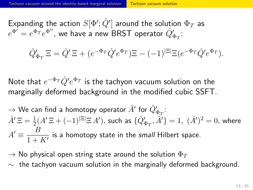### ound the identity-based marginal solution Tachyon vacuum solution

 $\pmb{\text{Expanding the action}}\ S[\Phi';\hat{Q}']$  around the solution  $\Phi_T$  as  $e^{\Phi'}=e^{\Phi_T}e^{\Phi''}$ , we have a new BRST operator  $\hat{Q}'_{\Phi_T}$ :

$$
\hat{Q}'_{\Phi_T} \Xi = \hat{Q}' \Xi + (e^{-\Phi_T} \hat{Q}' e^{\Phi_T}) \Xi - (-1)^{|\Xi|} \Xi (e^{-\Phi_T} \hat{Q}' e^{\Phi_T}).
$$

Note that *e <sup>−</sup>*Φ*<sup>T</sup> Q*ˆ*′ e* <sup>Φ</sup>*<sup>T</sup>* is the tachyon vacuum solution on the marginally deformed background in the modified cubic SSFT.

 $\rightarrow$  We can find a homotopy operator  $\hat{A}'$  for  $\hat{Q}'_{\Phi_T}$ :  $\hat{A}'\,\Xi=\frac{1}{2}(A'\,\Xi+(-1)^{|\Xi|}\Xi\,A'),$  such as  $\{\hat{Q}'_{\Phi_T},\hat{A}'\}=1,\,\,(\hat{A}')^2=0,$  where  $A' \equiv \frac{B}{1}$  $\frac{2}{1 + K'}$  is a homotopy state in the *small* Hilbert space.

 $\rightarrow$  No physical open string state around the solution  $\Phi_T$ 

*∼* the tachyon vacuum solution in the marginally deformed background.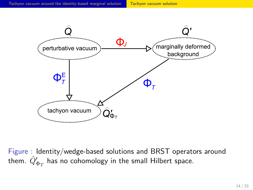

Figure : Identity/wedge-based solutions and BRST operators around them.  $\hat{Q}'_{\Phi_T}$  has no cohomology in the small Hilbert space.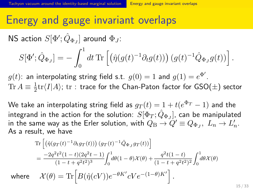# Energy and gauge invariant overlaps

Tachyon vacuum around the identity-based marginal solution **Energy and gauge invariant overlaps** 

 $\mathsf{NS}\xspace$  action  $S[\Phi'; \hat{Q}_{\Phi_J}]$  around  $\Phi_J$ :

$$
S[\Phi'; \hat{Q}_{\Phi_J}] = -\int_0^1 dt \,\text{Tr}\left[\left(\hat{\eta}(g(t)^{-1}\partial_t g(t))\right)(g(t)^{-1}\hat{Q}_{\Phi_J}g(t))\right].
$$

 $g(t)$ : an interpolating string field s.t.  $g(0)=1$  and  $g(1)=e^{\Phi'}$ . Tr  $A \equiv \frac{1}{2}$ 2 tr*⟨I|A⟩*; tr : trace for the Chan-Paton factor for GSO(*±*) sector

We take an interpolating string field as  $g_T(t) = 1 + t(e^{\Phi_T} - 1)$  and the integrand in the action for the solution:  $S[\Phi_{T}; \hat{Q}_{\Phi_{J}}]$ , can be manipulated in the same way as the Erler solution, with  $Q_{\text{B}} \rightarrow Q' \equiv Q_{\Phi_J}, \ L_n \rightarrow L'_n.$ As a result, we have

$$
\operatorname{Tr}\left[\left(\hat{\eta}(g_T(t)^{-1}\partial_t g_T(t))\right)(g_T(t)^{-1}\hat{Q}_{\Phi_J}g_T(t))\right]
$$
\n
$$
=\frac{-2q^2t^2(1-t)(2q^2t-1)}{(1-t+q^2t^2)^3}\int_0^1\!d\theta(1-\theta)\mathcal{X}(\theta)+\frac{q^2t(1-t)}{(1-t+q^2t^2)^2}\int_0^1\!d\theta\mathcal{X}(\theta)
$$
\nwhere\n
$$
\mathcal{X}(\theta)=\operatorname{Tr}\left[B(\hat{\eta}(cV))e^{-\theta K'}cVe^{-\left(1-\theta\right)K'}\right].
$$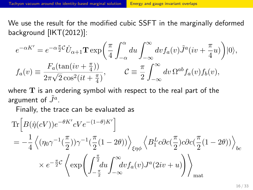We use the result for the modified cubic SSFT in the marginally deformed background [IKT(2012)]:

$$
e^{-\alpha K'} = e^{-\alpha \frac{\pi}{2}C} \hat{U}_{\alpha+1} \mathbf{T} \exp\left(\frac{\pi}{4} \int_{-\alpha}^{\alpha} du \int_{-\infty}^{\infty} dv f_a(v) \tilde{J}^a(iv + \frac{\pi}{4}u)\right)|0\rangle,
$$
  

$$
f_a(v) \equiv \frac{F_a(\tan(iv + \frac{\pi}{4}))}{2\pi\sqrt{2}\cos^2(it + \frac{\pi}{4})}, \qquad \mathcal{C} \equiv \frac{\pi}{2} \int_{-\infty}^{\infty} dv \,\Omega^{ab} f_a(v) f_b(v),
$$

where **T** is an ordering symbol with respect to the real part of the argument of  $\tilde{J}^a$ .

Finally, the trace can be evaluated as

$$
\begin{split} &\text{Tr}\Big[B(\hat{\eta}(cV))e^{-\theta K'}cVe^{-(1-\theta)K'}\Big]\\ &= -\frac{1}{4}\left\langle(\eta_0\gamma^{-1}(\frac{\pi}{2}))\gamma^{-1}(\frac{\pi}{2}(1-2\theta))\right\rangle_{\xi\eta\phi}\left\langle B_1^Lc\partial c(\frac{\pi}{2})c\partial c(\frac{\pi}{2}(1-2\theta))\right\rangle_{bc}\\ &\times e^{-\frac{\pi}{2}c}\left\langle \exp\left(\int_{-\frac{\pi}{2}}^{\frac{\pi}{2}}\!\!du\int_{-\infty}^{\infty}\!\!dv f_a(v)J^a(2iv+u)\right)\right\rangle_{\text{mat}} \end{split}
$$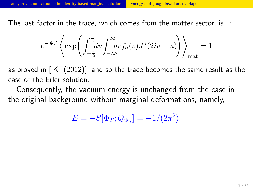The last factor in the trace, which comes from the matter sector, is 1:

$$
e^{-\frac{\pi}{2}\mathcal{C}}\left\langle \exp\left(\int_{-\frac{\pi}{2}}^{\frac{\pi}{2}}\!\! du \int_{-\infty}^{\infty}\!\! dv f_a(v)J^a(2iv+u)\right)\right\rangle_{\text{mat}}=1
$$

as proved in [IKT(2012)], and so the trace becomes the same result as the case of the Erler solution.

Consequently, the vacuum energy is unchanged from the case in the original background without marginal deformations, namely,

$$
E = -S[\Phi_T; \hat{Q}_{\Phi_J}] = -1/(2\pi^2).
$$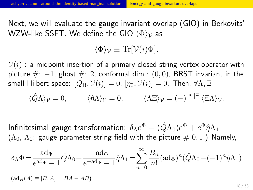Next, we will evaluate the gauge invariant overlap (GIO) in Berkovits' WZW-like SSFT. We define the GIO *⟨*Φ*⟩<sup>V</sup>* as

$$
\langle \Phi \rangle_{\mathcal{V}} \equiv \text{Tr}[\mathcal{V}(i)\Phi].
$$

 $V(i)$  : a midpoint insertion of a primary closed string vertex operator with picture #: *−*1, ghost #: 2, conformal dim.: (0*,* 0), BRST invariant in the small Hilbert space:  $[Q_B, V(i)] = 0$ ,  $[\eta_0, V(i)] = 0$ . Then,  $\forall \Lambda, \Xi$ 

$$
\langle \hat{Q} \Lambda \rangle_{\mathcal{V}} = 0, \qquad \langle \hat{\eta} \Lambda \rangle_{\mathcal{V}} = 0, \qquad \langle \Lambda \Xi \rangle_{\mathcal{V}} = (-)^{|\Lambda||\Xi|} \langle \Xi \Lambda \rangle_{\mathcal{V}}.
$$

Infinitesimal gauge transformation:  $\delta_\Lambda e^\Phi = (\hat{Q}\Lambda_0) e^\Phi + e^\Phi \hat{\eta} \Lambda_1$  $(\Lambda_{0},~\Lambda_{1}$ : gauge parameter string field with the picture  $\#$   $0,1.)$  Namely,

$$
\delta_{\Lambda}\Phi = \frac{\text{ad}_{\Phi}}{e^{\text{ad}_{\Phi}} - 1}\hat{Q}\Lambda_0 + \frac{-\text{ad}_{\Phi}}{e^{-\text{ad}_{\Phi}} - 1}\hat{\eta}\Lambda_1 = \sum_{n=0}^{\infty} \frac{B_n}{n!}(\text{ad}_{\Phi})^n(\hat{Q}\Lambda_0 + (-1)^n\hat{\eta}\Lambda_1)
$$
  

$$
(\text{ad}_{B}(A) \equiv [B, A] = BA - AB)
$$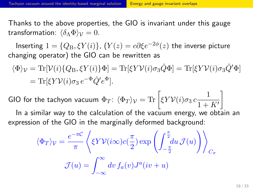Thanks to the above properties, the GIO is invariant under this gauge transformation:  $\langle \delta_{\Lambda} \Phi \rangle_{\mathcal{V}} = 0$ .

 $\textsf{Inserting}\hspace{0.1cm} 1=\{Q_{\text{B}},\xi Y(i)\},\ (Y(z)=c\partial \xi e^{-2\phi}(z) \hspace{0.1cm} \textsf{the inverse picture}$ changing operator) the GIO can be rewritten as

$$
\langle \Phi \rangle_{\mathcal{V}} = \text{Tr}[\mathcal{V}(i)\{Q_{\text{B}}, \xi Y(i)\} \Phi] = \text{Tr}[\xi Y \mathcal{V}(i)\sigma_3 \hat{Q} \Phi] = \text{Tr}[\xi Y \mathcal{V}(i)\sigma_3 \hat{Q}' \Phi]
$$
  
= 
$$
\text{Tr}[\xi Y \mathcal{V}(i)\sigma_3 e^{-\Phi} \hat{Q}' e^{\Phi}].
$$

GIO for the tachyon vacuum  $\Phi_T$ :  $\langle \Phi_T \rangle_{\mathcal{V}} = \text{Tr} \left[ \xi Y \mathcal{V}(i) \sigma_3 \, c \frac{1}{1+\epsilon} \right]$  $1 + K'$ ]

In a similar way to the calculation of the vacuum energy, we obtain an expression of the GIO in the marginally deformed background:

$$
\langle \Phi_T \rangle_{\mathcal{V}} = \frac{e^{-\pi C}}{\pi} \left\langle \xi Y \mathcal{V}(i\infty) c(\frac{\pi}{2}) \exp\left(\int_{-\frac{\pi}{2}}^{\frac{\pi}{2}} du \mathcal{J}(u)\right) \right\rangle_{C_{\pi}}
$$

$$
\mathcal{J}(u) = \int_{-\infty}^{\infty} dv \, f_a(v) J^a(iv+u)
$$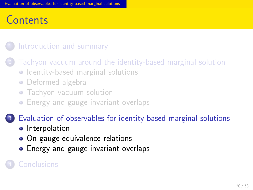#### Evaluation of observables for identity-based marginal solutions

# **Contents**

1 Introduction and summary

<sup>2</sup> Tachyon vacuum around the identity-based marginal solution

- Identity-based marginal solutions
- **·** Deformed algebra
- **·** Tachyon vacuum solution
- **•** Energy and gauge invariant overlaps

### <sup>3</sup> Evaluation of observables for identity-based marginal solutions

- **·** Interpolation
- On gauge equivalence relations
- **•** Energy and gauge invariant overlaps
- <sup>4</sup> Conclusions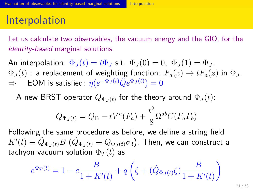#### Evaluation of observables for identity-based marginal solutions **Interpolation**

### Interpolation

Let us calculate two observables, the vacuum energy and the GIO, for the *identity-based* marginal solutions.

An interpolation:  $\Phi_J(t) = t \Phi_J$  s.t.  $\Phi_J(0) = 0$ ,  $\Phi_J(1) = \Phi_J$ .  $\Phi_J(t)$  : a replacement of weighting function:  $F_a(z) \to t F_a(z)$  in  $\Phi_J.$  $\Rightarrow$  EOM is satisfied:  $\hat{\eta}(e^{-\Phi_J(t)} \hat{Q} e^{\Phi_J(t)}) = 0$ 

A new BRST operator  $Q_{\Phi_J(t)}$  for the theory around  $\Phi_J(t)$ :

$$
Q_{\Phi_J(t)} = Q_{\rm B} - tV^a(F_a) + \frac{t^2}{8} \Omega^{ab} C(F_a F_b)
$$

Following the same procedure as before, we define a string field  $K^{\prime}(t) \equiv \hat{Q}_{\Phi_J(t)} B \,\, (\hat{Q}_{\Phi_J(t)} \equiv Q_{\Phi_J(t)} \sigma_3).$  Then, we can construct a tachyon vacuum solution  $\Phi_T(t)$  as

$$
e^{\Phi_T(t)} = 1 - c \frac{B}{1 + K'(t)} + q \left( \zeta + (\hat{Q}_{\Phi_J(t)} \zeta) \frac{B}{1 + K'(t)} \right)
$$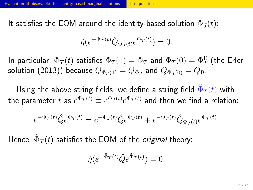#### or identity-based marginal solutions Interpolation

It satisfies the EOM around the identity-based solution  $\Phi_J(t)$ :

$$
\hat{\eta}(e^{-\Phi_T(t)}\hat{Q}_{\Phi_J(t)}e^{\Phi_T(t)}) = 0.
$$

In particular,  $\Phi_T(t)$  satisfies  $\Phi_T(1)=\Phi_T$  and  $\Phi_T(0)=\Phi_T^\mathrm{E}$  (the Erler solution (2013)) because  $Q_{\Phi_J(1)} = Q_{\Phi_J}$  and  $Q_{\Phi_J(0)} = Q_{\rm B}.$ 

Using the above string fields, we define a string field  $\tilde{\Phi}_T(t)$  with the parameter  $t$  as  $e^{\tilde{\Phi}_T(t)} \equiv e^{\Phi_J(t)} e^{\Phi_T(t)}$  and then we find a relation:

$$
e^{-\tilde{\Phi}_T(t)}\hat{Q}e^{\tilde{\Phi}_T(t)} = e^{-\Phi_J(t)}\hat{Q}e^{\Phi_J(t)} + e^{-\Phi_T(t)}\hat{Q}_{\Phi_J(t)}e^{\Phi_T(t)}.
$$

Hence,  $\tilde{\Phi}_T(t)$  satisfies the EOM of the *original* theory:

$$
\hat{\eta}(e^{-\tilde{\Phi}_T(t)}\hat{Q}e^{\tilde{\Phi}_T(t)}) = 0.
$$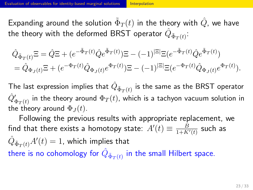#### Evaluation of observables for identity-based marginal solutions **Interpolation**

Expanding around the solution  $\tilde{\Phi}_T(t)$  in the theory with  $\hat{Q}$ , we have the theory with the deformed BRST operator  $\hat{Q}_{\tilde{\Phi}_T(t)}$ :

$$
\begin{split} \hat{Q}_{\tilde{\Phi}_{T}(t)} \Xi &= \hat{Q} \Xi + (e^{-\tilde{\Phi}_{T}(t)} \hat{Q} e^{\tilde{\Phi}_{T}(t)}) \Xi - (-1)^{|\Xi|} \Xi (e^{-\tilde{\Phi}_{T}(t)} \hat{Q} e^{\tilde{\Phi}_{T}(t)}) \\ &= \hat{Q}_{\Phi_{J}(t)} \Xi + (e^{-\Phi_{T}(t)} \hat{Q}_{\Phi_{J}(t)} e^{\Phi_{T}(t)}) \Xi - (-1)^{|\Xi|} \Xi (e^{-\Phi_{T}(t)} \hat{Q}_{\Phi_{J}(t)} e^{\Phi_{T}(t)}). \end{split}
$$

The last expression implies that  $\hat{Q}_{\tilde{\Phi}_T(t)}$  is the same as the BRST operator  $\hat{Q'}_{\Phi_T(t)}'$  in the theory around  $\Phi_T(t)$ , which is a tachyon vacuum solution in the theory around  $\Phi_J(t)$ .

Following the previous results with appropriate replacement, we find that there exists a homotopy state:  $A'(t) \equiv \frac{B}{1+K}$  $\frac{B}{1+K'(t)}$  such as  $\hat{Q}_{\tilde{\Phi}_T(t)} A'(t) = 1$ , which implies that there is no cohomology for  $\hat{Q}_{\tilde{\Phi}_T(t)}$  in the small Hilbert space.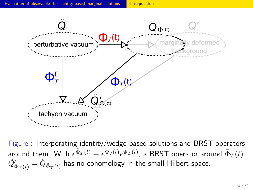

Figure : Interporating identity/wedge-based solutions and BRST operators around them. With  $e^{\tilde{\Phi}_T(t)} \equiv e^{\Phi_J(t)} e^{\Phi_T(t)}$ , a BRST operator around  $\tilde{\Phi}_T(t)$  $\hat{Q'}_{\Phi_T(t)}' = \hat{Q}_{\tilde{\Phi}_T(t)}$  has no cohomology in the small Hilbert space.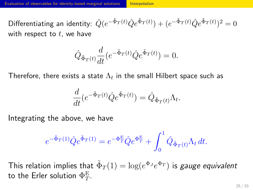#### **Evaluation of observables for identity-based marginal solutions Interpolation**

 $\text{Differentiating an identity: } \hat{Q}(e^{-\tilde{\Phi}_T(t)}\hat{Q}e^{\tilde{\Phi}_T(t)}) + (e^{-\tilde{\Phi}_T(t)}\hat{Q}e^{\tilde{\Phi}_T(t)})^2 = 0$ with respect to *t*, we have

$$
\hat{Q}_{\tilde{\Phi}_T(t)} \frac{d}{dt} \left( e^{-\tilde{\Phi}_T(t)} \hat{Q} e^{\tilde{\Phi}_T(t)} \right) = 0.
$$

Therefore, there exists a state  $\Lambda_t$  in the small Hilbert space such as

$$
\frac{d}{dt}\left(e^{-\tilde{\Phi}_T(t)}\hat{Q}e^{\tilde{\Phi}_T(t)}\right) = \hat{Q}_{\tilde{\Phi}_T(t)}\Lambda_t.
$$

Integrating the above, we have

$$
e^{-\tilde{\Phi}_T(1)}\hat{Q}e^{\tilde{\Phi}_T(1)} = e^{-\Phi_T^{\mathcal{E}}} \hat{Q}e^{\Phi_T^{\mathcal{E}}} + \int_0^1 \hat{Q}_{\tilde{\Phi}_T(t)}\Lambda_t dt.
$$

This relation implies that  $\tilde{\Phi}_T(1) = \log(e^{\Phi_J} e^{\Phi_T})$  is *gauge equivalent* to the Erler solution  $\Phi^{\rm E}_{T}$ .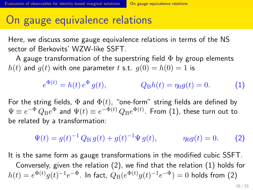# On gauge equivalence relations

Evaluation of observables for identity-based marginal solutions **On gauge equivalence relations** 

Here, we discuss some gauge equivalence relations in terms of the NS sector of Berkovits' WZW-like SSFT.

A gauge transformation of the superstring field  $\Phi$  by group elements  $h(t)$  and  $g(t)$  with one parameter *t* s.t.  $g(0) = h(0) = 1$  is

$$
e^{\Phi(t)} = h(t) e^{\Phi} g(t), \qquad Q_{\rm B}h(t) = \eta_0 g(t) = 0. \tag{1}
$$

For the string fields, Φ and Φ(*t*), "one-form" string fields are defined by  $\Psi \equiv e^{-\Phi}\,Q_\text{B}e^{\Phi}$  and  $\Psi(t) \equiv e^{-\Phi(t)}\,Q_\text{B}e^{\Phi(t)}.$  From (1), these turn out to be related by a transformation:

$$
\Psi(t) = g(t)^{-1} Q_B g(t) + g(t)^{-1} \Psi g(t), \qquad \eta_0 g(t) = 0. \tag{2}
$$

It is the same form as gauge transformations in the modified cubic SSFT.<br>Conversely, given the relation (2) we find that the relation (1) holds for  $\overline{\mathcal{C}}$  conversely, given the relation (1) holds for

Conversely, given the relation (2), we find that the relation (1) holds for 
$$
h(t) = e^{\Phi(t)}g(t)^{-1}e^{-\Phi}
$$
. In fact,  $Q_B(e^{\Phi(t)}g(t)^{-1}e^{-\Phi}) = 0$  holds from (2)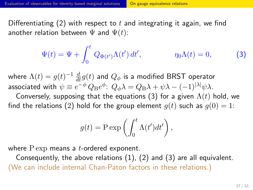#### Evaluation of observables for identity-based marginal solutions **On gauge equivalence relations**

Differentiating (2) with respect to *t* and integrating it again, we find another relation between  $\Psi$  and  $\Psi(t)$ :

$$
\Psi(t) = \Psi + \int_0^t Q_{\Phi(t')} \Lambda(t') dt', \qquad \eta_0 \Lambda(t) = 0,
$$
\n(3)

where  $\Lambda(t)=g(t)^{-1}\,\frac{d}{dt}g(t)$  and  $Q_\phi$  is a modified BRST operator associated with  $\psi \equiv e^{-\phi}\,Q_\text{B}e^{\phi}\!:\,Q_\phi\lambda = Q_\text{B}\lambda + \psi\lambda - (-1)^{|\lambda|}\psi\lambda.$ 

Conversely, supposing that the equations (3) for a given  $\Lambda(t)$  hold, we find the relations (2) hold for the group element  $g(t)$  such as  $g(0) = 1$ :

$$
g(t) = P \exp\left(\int_0^t \Lambda(t')dt'\right),\,
$$

where P exp means a *t*-ordered exponent.

Consequently, the above relations  $(1)$ ,  $(2)$  and  $(3)$  are all equivalent. (We can include internal Chan-Paton factors in these relations.)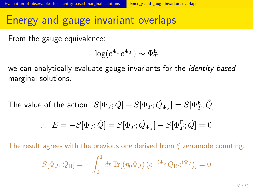# Evaluation of observables for identity-based marginal solutions **Energy and gauge invariant overlaps**

Energy and gauge invariant overlaps

From the gauge equivalence:

$$
\log(e^{\Phi_J}e^{\Phi_T}) \sim \Phi_T^{\mathcal{E}}
$$

we can analytically evaluate gauge invariants for the *identity-based* marginal solutions.

 $\textsf{The value of the action: } S[\Phi_J; \hat{Q}] + S[\Phi_T; \hat{Q}_{\Phi_J}] = S[\Phi_T^{\rm E}; \hat{Q}]$ 

$$
\therefore E = -S[\Phi_J; \hat{Q}] = S[\Phi_T; \hat{Q}_{\Phi_J}] - S[\Phi_T^{\rm E}; \hat{Q}] = 0
$$

The result agrees with the previous one derived from *ξ* zeromode counting:

$$
S[\Phi_J, Q_B] = -\int_0^1 dt \operatorname{Tr}[(\eta_0 \Phi_J) (e^{-t\Phi_J} Q_B e^{t\Phi_J})] = 0
$$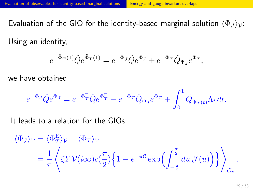### Evaluation of observables for identity-based marginal solutions **Energy and gauge invariant overlaps Example 20**

Evaluation of the GIO for the identity-based marginal solution  $\langle \Phi_J \rangle_{\mathcal{V}}$ :

Using an identity,

$$
e^{-\tilde{\Phi}_T(1)}\hat{Q}e^{\tilde{\Phi}_T(1)}=e^{-\Phi_J}\hat{Q}e^{\Phi_J}+e^{-\Phi_T}\hat{Q}_{\Phi_J}e^{\Phi_T},
$$

we have obtained

$$
e^{-\Phi_J} \hat{Q} e^{\Phi_J} = e^{-\Phi_T^{\rm E}} \hat{Q} e^{\Phi_T^{\rm E}} - e^{-\Phi_T} \hat{Q}_{\Phi_J} e^{\Phi_T} + \int_0^1 \hat{Q}_{\tilde{\Phi}_T(t)} \Lambda_t dt.
$$

It leads to a relation for the GIOs:

$$
\langle \Phi_J \rangle_{\mathcal{V}} = \langle \Phi_T^{\mathcal{E}} \rangle_{\mathcal{V}} - \langle \Phi_T \rangle_{\mathcal{V}}
$$
  
=  $\frac{1}{\pi} \left\langle \xi Y \mathcal{V}(i\infty) c(\frac{\pi}{2}) \left\{ 1 - e^{-\pi C} \exp\left(\int_{-\frac{\pi}{2}}^{\frac{\pi}{2}} du \mathcal{J}(u)\right) \right\} \right\rangle_{C_{\pi}}.$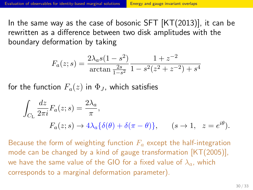### Evaluation of observables for identity-based marginal solutions **Energy and gauge invariant overlaps**

In the same way as the case of bosonic SFT  $[KT(2013)]$ , it can be rewritten as a difference between two disk amplitudes with the boundary deformation by taking

$$
F_a(z; s) = \frac{2\lambda_a s (1 - s^2)}{\arctan\frac{2s}{1 - s^2}} \frac{1 + z^{-2}}{1 - s^2 (z^2 + z^{-2}) + s^4}
$$

for the function  $F_a(z)$  in  $\Phi_J$ , which satisfies

$$
\int_{C_{\rm L}} \frac{dz}{2\pi i} F_a(z; s) = \frac{2\lambda_a}{\pi},
$$
  

$$
F_a(z; s) \to 4\lambda_a \{\delta(\theta) + \delta(\pi - \theta)\}, \qquad (s \to 1, \ z = e^{i\theta}).
$$

Because the form of weighting function *F<sup>a</sup>* except the half-integration mode can be changed by a kind of gauge transformation [KT(2005)], we have the same value of the GIO for a fixed value of *λa*, which corresponds to a marginal deformation parameter).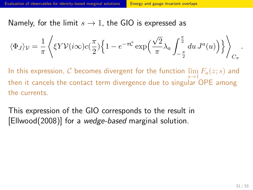### Evaluation of observables for identity-based marginal solutions **Energy and gauge invariant overlaps**

Namely, for the limit *s →* 1, the GIO is expressed as

$$
\langle \Phi_J \rangle_{\mathcal{V}} = \frac{1}{\pi} \left\langle \xi Y \mathcal{V}(i\infty) c(\frac{\pi}{2}) \Big\{ 1 - e^{-\pi \mathcal{C}} \exp\left(\frac{\sqrt{2}}{\pi} \lambda_a \int_{-\frac{\pi}{2}}^{\frac{\pi}{2}} du J^a(u) \right) \Big\} \right\rangle_{C_{\pi}}.
$$

In this expression,  $C$  becomes divergent for the function  $\lim_{\longrightarrow}$  $\lim_{s\to 1} F_a(z;s)$  and then it cancels the contact term divergence due to singular OPE among the currents.

This expression of the GIO corresponds to the result in [Ellwood(2008)] for a *wedge-based* marginal solution.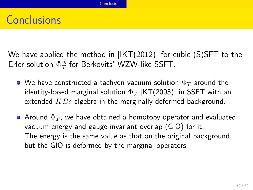# **Conclusions**

We have applied the method in [IKT(2012)] for cubic (S)SFT to the Erler solution  $\Phi_T^\mathrm{E}$  for Berkovits' WZW-like SSFT.

**Conclusions** 

- We have constructed a tachyon vacuum solution Φ*<sup>T</sup>* around the identity-based marginal solution Φ*<sup>J</sup>* [KT(2005)] in SSFT with an extended *KBc* algebra in the marginally deformed background.
- $\bullet$  Around  $\Phi_T$ , we have obtained a homotopy operator and evaluated vacuum energy and gauge invariant overlap (GIO) for it. The energy is the same value as that on the original background, but the GIO is deformed by the marginal operators.